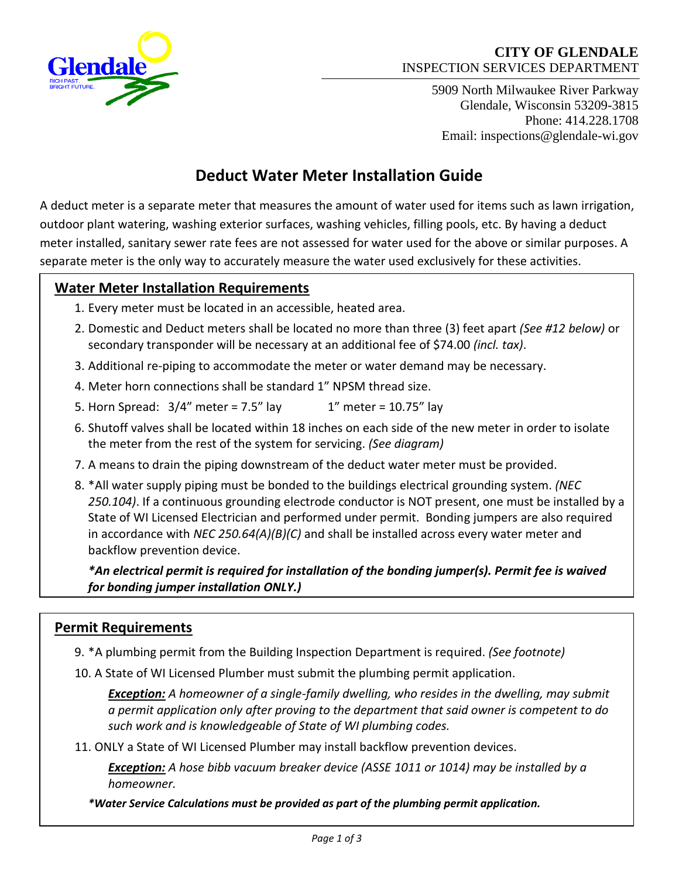

# **CITY OF GLENDALE** INSPECTION SERVICES DEPARTMENT

5909 North Milwaukee River Parkway Glendale, Wisconsin 53209-3815 Phone: 414.228.1708 Email: inspections@glendale-wi.gov

# **Deduct Water Meter Installation Guide**

A deduct meter is a separate meter that measures the amount of water used for items such as lawn irrigation, outdoor plant watering, washing exterior surfaces, washing vehicles, filling pools, etc. By having a deduct meter installed, sanitary sewer rate fees are not assessed for water used for the above or similar purposes. A separate meter is the only way to accurately measure the water used exclusively for these activities.

# **Water Meter Installation Requirements**

- 1. Every meter must be located in an accessible, heated area.
- 2. Domestic and Deduct meters shall be located no more than three (3) feet apart *(See #12 below)* or secondary transponder will be necessary at an additional fee of \$74.00 *(incl. tax)*.
- 3. Additional re-piping to accommodate the meter or water demand may be necessary.
- 4. Meter horn connections shall be standard 1" NPSM thread size.
- 5. Horn Spread:  $3/4''$  meter = 7.5" lay  $1''$  meter = 10.75" lay
- 6. Shutoff valves shall be located within 18 inches on each side of the new meter in order to isolate the meter from the rest of the system for servicing. *(See diagram)*
- 7. A means to drain the piping downstream of the deduct water meter must be provided.
- 8. \*All water supply piping must be bonded to the buildings electrical grounding system. *(NEC 250.104)*. If a continuous grounding electrode conductor is NOT present, one must be installed by a State of WI Licensed Electrician and performed under permit. Bonding jumpers are also required in accordance with *NEC 250.64(A)(B)(C)* and shall be installed across every water meter and backflow prevention device.

*\*An electrical permit is required for installation of the bonding jumper(s). Permit fee is waived for bonding jumper installation ONLY.)*

# **Permit Requirements**

- 9. \*A plumbing permit from the Building Inspection Department is required. *(See footnote)*
- 10. A State of WI Licensed Plumber must submit the plumbing permit application.

*Exception: A homeowner of a single-family dwelling, who resides in the dwelling, may submit a permit application only after proving to the department that said owner is competent to do such work and is knowledgeable of State of WI plumbing codes.*

11. ONLY a State of WI Licensed Plumber may install backflow prevention devices.

*Exception: A hose bibb vacuum breaker device (ASSE 1011 or 1014) may be installed by a homeowner.*

*\*Water Service Calculations must be provided as part of the plumbing permit application.*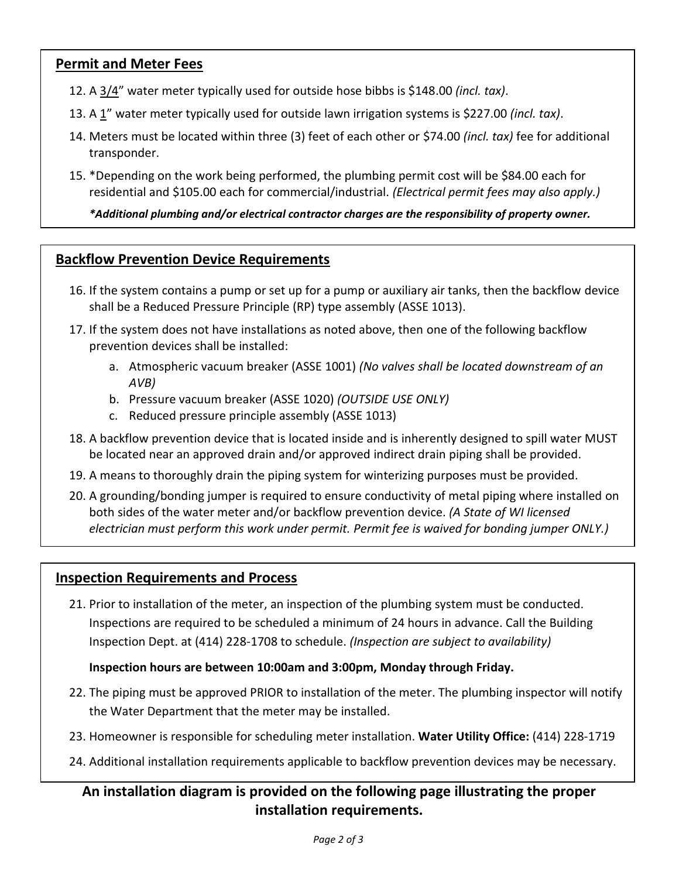## **Permit and Meter Fees**

- 12. A 3/4" water meter typically used for outside hose bibbs is \$148.00 *(incl. tax)*.
- 13. A 1" water meter typically used for outside lawn irrigation systems is \$227.00 *(incl. tax)*.
- 14. Meters must be located within three (3) feet of each other or \$74.00 *(incl. tax)* fee for additional transponder.
- 15. \*Depending on the work being performed, the plumbing permit cost will be \$84.00 each for residential and \$105.00 each for commercial/industrial. *(Electrical permit fees may also apply.)*

*\*Additional plumbing and/or electrical contractor charges are the responsibility of property owner.*

#### **Backflow Prevention Device Requirements**

- 16. If the system contains a pump or set up for a pump or auxiliary air tanks, then the backflow device shall be a Reduced Pressure Principle (RP) type assembly (ASSE 1013).
- 17. If the system does not have installations as noted above, then one of the following backflow prevention devices shall be installed:
	- a. Atmospheric vacuum breaker (ASSE 1001) *(No valves shall be located downstream of an AVB)*
	- b. Pressure vacuum breaker (ASSE 1020) *(OUTSIDE USE ONLY)*
	- c. Reduced pressure principle assembly (ASSE 1013)
- 18. A backflow prevention device that is located inside and is inherently designed to spill water MUST be located near an approved drain and/or approved indirect drain piping shall be provided.
- 19. A means to thoroughly drain the piping system for winterizing purposes must be provided.
- 20. A grounding/bonding jumper is required to ensure conductivity of metal piping where installed on both sides of the water meter and/or backflow prevention device. *(A State of WI licensed electrician must perform this work under permit. Permit fee is waived for bonding jumper ONLY.)*

#### **Inspection Requirements and Process**

21. Prior to installation of the meter, an inspection of the plumbing system must be conducted. Inspections are required to be scheduled a minimum of 24 hours in advance. Call the Building Inspection Dept. at (414) 228-1708 to schedule. *(Inspection are subject to availability)*

#### **Inspection hours are between 10:00am and 3:00pm, Monday through Friday.**

- 22. The piping must be approved PRIOR to installation of the meter. The plumbing inspector will notify the Water Department that the meter may be installed.
- 23. Homeowner is responsible for scheduling meter installation. **Water Utility Office:** (414) 228-1719
- 24. Additional installation requirements applicable to backflow prevention devices may be necessary.

## **An installation diagram is provided on the following page illustrating the proper installation requirements.**